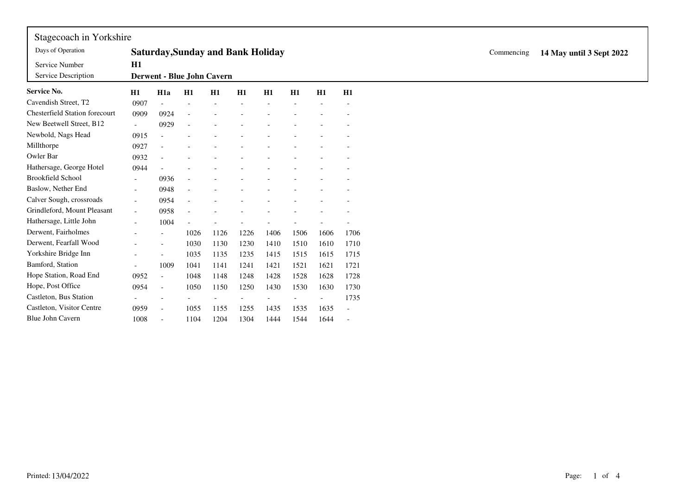| Stagecoach in Yorkshire               |                                          |                          |                          |                            |      |      |      |      |                          |  |  |  |  |                          |  |  |
|---------------------------------------|------------------------------------------|--------------------------|--------------------------|----------------------------|------|------|------|------|--------------------------|--|--|--|--|--------------------------|--|--|
| Days of Operation                     | <b>Saturday, Sunday and Bank Holiday</b> |                          |                          |                            |      |      |      |      |                          |  |  |  |  | 14 May until 3 Sept 2022 |  |  |
| Service Number<br>Service Description | H1                                       |                          |                          | Derwent - Blue John Cavern |      |      |      |      |                          |  |  |  |  |                          |  |  |
| Service No.                           | H1                                       | H <sub>1</sub> a         | H1                       | H1                         | H1   | H1   | H1   | H1   | H1                       |  |  |  |  |                          |  |  |
| Cavendish Street, T2                  | 0907                                     | $\overline{\phantom{a}}$ |                          |                            |      |      |      |      |                          |  |  |  |  |                          |  |  |
| <b>Chesterfield Station forecourt</b> | 0909                                     | 0924                     |                          |                            |      |      |      |      |                          |  |  |  |  |                          |  |  |
| New Beetwell Street, B12              | $\overline{\phantom{a}}$                 | 0929                     |                          |                            |      |      |      |      |                          |  |  |  |  |                          |  |  |
| Newbold, Nags Head                    | 0915                                     |                          |                          |                            |      |      |      |      |                          |  |  |  |  |                          |  |  |
| Millthorpe                            | 0927                                     |                          |                          |                            |      |      |      |      |                          |  |  |  |  |                          |  |  |
| Owler Bar                             | 0932                                     |                          |                          |                            |      |      |      |      |                          |  |  |  |  |                          |  |  |
| Hathersage, George Hotel              | 0944                                     |                          |                          |                            |      |      |      |      |                          |  |  |  |  |                          |  |  |
| <b>Brookfield School</b>              | $\overline{\phantom{a}}$                 | 0936                     |                          |                            |      |      |      |      |                          |  |  |  |  |                          |  |  |
| Baslow, Nether End                    | $\overline{\phantom{a}}$                 | 0948                     | $\overline{\phantom{a}}$ |                            |      |      |      |      |                          |  |  |  |  |                          |  |  |
| Calver Sough, crossroads              | $\overline{\phantom{a}}$                 | 0954                     |                          |                            |      |      |      |      |                          |  |  |  |  |                          |  |  |
| Grindleford, Mount Pleasant           | $\sim$                                   | 0958                     |                          |                            |      |      |      |      |                          |  |  |  |  |                          |  |  |
| Hathersage, Little John               | $\overline{a}$                           | 1004                     |                          |                            |      |      |      |      |                          |  |  |  |  |                          |  |  |
| Derwent, Fairholmes                   |                                          | $\overline{\phantom{a}}$ | 1026                     | 1126                       | 1226 | 1406 | 1506 | 1606 | 1706                     |  |  |  |  |                          |  |  |
| Derwent, Fearfall Wood                |                                          | $\overline{\phantom{a}}$ | 1030                     | 1130                       | 1230 | 1410 | 1510 | 1610 | 1710                     |  |  |  |  |                          |  |  |
| Yorkshire Bridge Inn                  |                                          | $\overline{\phantom{a}}$ | 1035                     | 1135                       | 1235 | 1415 | 1515 | 1615 | 1715                     |  |  |  |  |                          |  |  |
| Bamford, Station                      | $\overline{\phantom{a}}$                 | 1009                     | 1041                     | 1141                       | 1241 | 1421 | 1521 | 1621 | 1721                     |  |  |  |  |                          |  |  |
| Hope Station, Road End                | 0952                                     | $\sim$                   | 1048                     | 1148                       | 1248 | 1428 | 1528 | 1628 | 1728                     |  |  |  |  |                          |  |  |
| Hope, Post Office                     | 0954                                     | $\overline{\phantom{a}}$ | 1050                     | 1150                       | 1250 | 1430 | 1530 | 1630 | 1730                     |  |  |  |  |                          |  |  |
| Castleton, Bus Station                |                                          | $\overline{\phantom{a}}$ |                          |                            |      |      |      |      | 1735                     |  |  |  |  |                          |  |  |
| Castleton, Visitor Centre             | 0959                                     | $\overline{\phantom{a}}$ | 1055                     | 1155                       | 1255 | 1435 | 1535 | 1635 | $\overline{\phantom{a}}$ |  |  |  |  |                          |  |  |
| <b>Blue John Cavern</b>               | 1008                                     | $\overline{\phantom{a}}$ | 1104                     | 1204                       | 1304 | 1444 | 1544 | 1644 |                          |  |  |  |  |                          |  |  |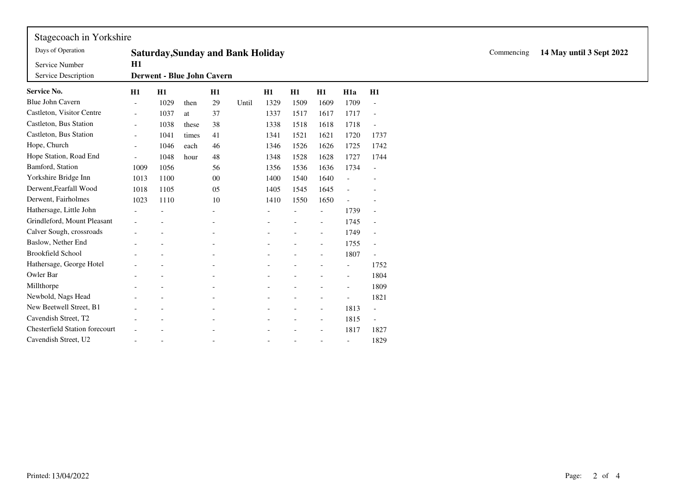| Stagecoach in Yorkshire               |                                          |                            |       |                          |       |      |                          |                          |                          |                          |  |  |  |  |
|---------------------------------------|------------------------------------------|----------------------------|-------|--------------------------|-------|------|--------------------------|--------------------------|--------------------------|--------------------------|--|--|--|--|
| Days of Operation                     | <b>Saturday, Sunday and Bank Holiday</b> |                            |       |                          |       |      |                          |                          |                          |                          |  |  |  |  |
| Service Number                        | H1                                       |                            |       |                          |       |      |                          |                          |                          |                          |  |  |  |  |
| Service Description                   |                                          | Derwent - Blue John Cavern |       |                          |       |      |                          |                          |                          |                          |  |  |  |  |
| <b>Service No.</b>                    | H1                                       | H1                         |       | H1                       |       | H1   | H1                       | H1                       | H <sub>1</sub> a         | H1                       |  |  |  |  |
| Blue John Cavern                      | $\overline{\phantom{a}}$                 | 1029                       | then  | 29                       | Until | 1329 | 1509                     | 1609                     | 1709                     |                          |  |  |  |  |
| Castleton, Visitor Centre             | $\overline{\phantom{a}}$                 | 1037                       | at    | 37                       |       | 1337 | 1517                     | 1617                     | 1717                     | $\overline{\phantom{a}}$ |  |  |  |  |
| Castleton, Bus Station                | $\overline{\phantom{a}}$                 | 1038                       | these | 38                       |       | 1338 | 1518                     | 1618                     | 1718                     |                          |  |  |  |  |
| Castleton, Bus Station                | $\overline{\phantom{a}}$                 | 1041                       | times | 41                       |       | 1341 | 1521                     | 1621                     | 1720                     | 1737                     |  |  |  |  |
| Hope, Church                          | $\overline{\phantom{a}}$                 | 1046                       | each  | 46                       |       | 1346 | 1526                     | 1626                     | 1725                     | 1742                     |  |  |  |  |
| Hope Station, Road End                | $\overline{\phantom{a}}$                 | 1048                       | hour  | $48\,$                   |       | 1348 | 1528                     | 1628                     | 1727                     | 1744                     |  |  |  |  |
| Bamford, Station                      | 1009                                     | 1056                       |       | 56                       |       | 1356 | 1536                     | 1636                     | 1734                     | $\overline{\phantom{a}}$ |  |  |  |  |
| Yorkshire Bridge Inn                  | 1013                                     | 1100                       |       | $00\,$                   |       | 1400 | 1540                     | 1640                     |                          |                          |  |  |  |  |
| Derwent.Fearfall Wood                 | 1018                                     | 1105                       |       | 05                       |       | 1405 | 1545                     | 1645                     |                          |                          |  |  |  |  |
| Derwent, Fairholmes                   | 1023                                     | 1110                       |       | 10                       |       | 1410 | 1550                     | 1650                     |                          |                          |  |  |  |  |
| Hathersage, Little John               |                                          |                            |       | $\overline{\phantom{a}}$ |       |      | $\overline{\phantom{a}}$ | $\overline{\phantom{a}}$ | 1739                     | $\overline{\phantom{a}}$ |  |  |  |  |
| Grindleford, Mount Pleasant           |                                          |                            |       |                          |       |      |                          |                          | 1745                     |                          |  |  |  |  |
| Calver Sough, crossroads              |                                          |                            |       |                          |       |      |                          |                          | 1749                     | $\sim$                   |  |  |  |  |
| Baslow, Nether End                    |                                          |                            |       |                          |       |      |                          |                          | 1755                     | $\overline{\phantom{a}}$ |  |  |  |  |
| <b>Brookfield School</b>              |                                          |                            |       |                          |       |      |                          |                          | 1807                     | $\sim$                   |  |  |  |  |
| Hathersage, George Hotel              |                                          |                            |       |                          |       |      |                          |                          | $\overline{\phantom{a}}$ | 1752                     |  |  |  |  |
| Owler Bar                             |                                          |                            |       |                          |       |      |                          |                          |                          | 1804                     |  |  |  |  |
| Millthorpe                            |                                          |                            |       |                          |       |      |                          |                          |                          | 1809                     |  |  |  |  |
| Newbold, Nags Head                    |                                          |                            |       |                          |       |      |                          |                          |                          | 1821                     |  |  |  |  |
| New Beetwell Street, B1               |                                          |                            |       |                          |       |      |                          |                          | 1813                     | $\overline{\phantom{a}}$ |  |  |  |  |
| Cavendish Street, T2                  |                                          |                            |       |                          |       |      |                          | $\overline{\phantom{a}}$ | 1815                     | $\overline{\phantom{a}}$ |  |  |  |  |
| <b>Chesterfield Station forecourt</b> |                                          |                            |       |                          |       |      |                          |                          | 1817                     | 1827                     |  |  |  |  |
| Cavendish Street, U2                  |                                          |                            |       |                          |       |      |                          |                          | $\overline{\phantom{a}}$ | 1829                     |  |  |  |  |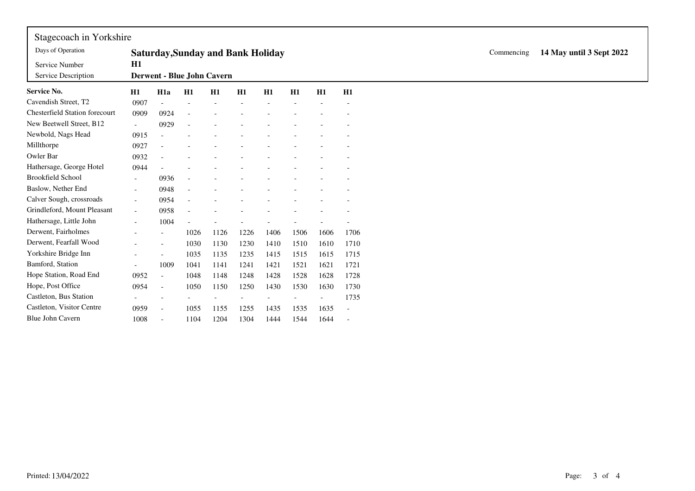| Stagecoach in Yorkshire               |                          |                          |                          |                                          |      |      |      |      |                          |  |            |                          |
|---------------------------------------|--------------------------|--------------------------|--------------------------|------------------------------------------|------|------|------|------|--------------------------|--|------------|--------------------------|
| Days of Operation                     |                          |                          |                          | <b>Saturday, Sunday and Bank Holiday</b> |      |      |      |      |                          |  | Commencing | 14 May until 3 Sept 2022 |
| Service Number<br>Service Description | H1                       |                          |                          | Derwent - Blue John Cavern               |      |      |      |      |                          |  |            |                          |
| <b>Service No.</b>                    | H1                       | H <sub>1</sub> a         | H1                       | H1                                       | H1   | H1   | H1   | H1   | H1                       |  |            |                          |
| Cavendish Street, T2                  | 0907                     |                          |                          |                                          |      |      |      |      |                          |  |            |                          |
| <b>Chesterfield Station forecourt</b> | 0909                     | 0924                     |                          |                                          |      |      |      |      |                          |  |            |                          |
| New Beetwell Street, B12              | $\sim$                   | 0929                     |                          |                                          |      |      |      |      |                          |  |            |                          |
| Newbold, Nags Head                    | 0915                     | $\bar{a}$                |                          |                                          |      |      |      |      |                          |  |            |                          |
| Millthorpe                            | 0927                     |                          |                          |                                          |      |      |      |      |                          |  |            |                          |
| Owler Bar                             | 0932                     |                          |                          |                                          |      |      |      |      |                          |  |            |                          |
| Hathersage, George Hotel              | 0944                     |                          |                          |                                          |      |      |      |      |                          |  |            |                          |
| <b>Brookfield School</b>              | $\overline{\phantom{a}}$ | 0936                     |                          |                                          |      |      |      |      |                          |  |            |                          |
| Baslow, Nether End                    | $\overline{\phantom{a}}$ | 0948                     | $\overline{\phantom{a}}$ |                                          |      |      |      |      |                          |  |            |                          |
| Calver Sough, crossroads              | $\overline{\phantom{a}}$ | 0954                     |                          |                                          |      |      |      |      |                          |  |            |                          |
| Grindleford, Mount Pleasant           | $\sim$                   | 0958                     |                          |                                          |      |      |      |      |                          |  |            |                          |
| Hathersage, Little John               | $\sim$                   | 1004                     |                          |                                          |      |      |      |      |                          |  |            |                          |
| Derwent, Fairholmes                   |                          | $\overline{\phantom{a}}$ | 1026                     | 1126                                     | 1226 | 1406 | 1506 | 1606 | 1706                     |  |            |                          |
| Derwent, Fearfall Wood                | $\overline{a}$           | $\overline{a}$           | 1030                     | 1130                                     | 1230 | 1410 | 1510 | 1610 | 1710                     |  |            |                          |
| Yorkshire Bridge Inn                  |                          | $\overline{a}$           | 1035                     | 1135                                     | 1235 | 1415 | 1515 | 1615 | 1715                     |  |            |                          |
| Bamford, Station                      |                          | 1009                     | 1041                     | 1141                                     | 1241 | 1421 | 1521 | 1621 | 1721                     |  |            |                          |
| Hope Station, Road End                | 0952                     | $\mathcal{L}$            | 1048                     | 1148                                     | 1248 | 1428 | 1528 | 1628 | 1728                     |  |            |                          |
| Hope, Post Office                     | 0954                     | $\overline{\phantom{a}}$ | 1050                     | 1150                                     | 1250 | 1430 | 1530 | 1630 | 1730                     |  |            |                          |
| Castleton, Bus Station                |                          |                          |                          |                                          |      |      |      |      | 1735                     |  |            |                          |
| Castleton, Visitor Centre             | 0959                     | $\sim$                   | 1055                     | 1155                                     | 1255 | 1435 | 1535 | 1635 | $\overline{\phantom{a}}$ |  |            |                          |
| Blue John Cavern                      | 1008                     | $\blacksquare$           | 1104                     | 1204                                     | 1304 | 1444 | 1544 | 1644 | $\overline{\phantom{a}}$ |  |            |                          |

 $\mathbf{r}$